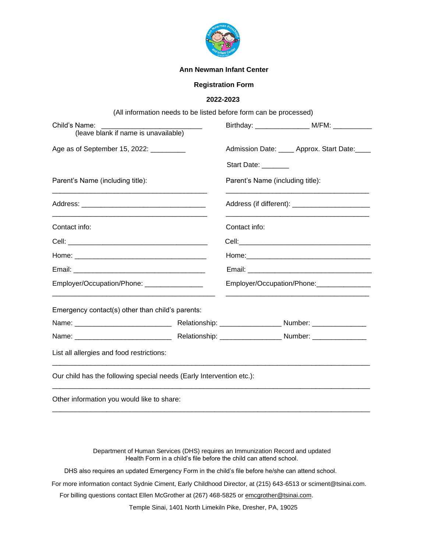

#### **Ann Newman Infant Center**

## **Registration Form**

### **2022-2023**

|                                                                       |  | (All information needs to be listed before form can be processed) |                                                    |
|-----------------------------------------------------------------------|--|-------------------------------------------------------------------|----------------------------------------------------|
| Child's Name:<br>(leave blank if name is unavailable)                 |  |                                                                   | Birthday: _____________________ M/FM: ____________ |
| Age as of September 15, 2022: _________                               |  |                                                                   | Admission Date: _____ Approx. Start Date: ____     |
|                                                                       |  | Start Date: _______                                               |                                                    |
| Parent's Name (including title):                                      |  | Parent's Name (including title):                                  |                                                    |
| <u> 1980 - Johann Barbara, martxa alemaniar arg</u> entina (h. 1908). |  |                                                                   |                                                    |
| Contact info:                                                         |  | Contact info:                                                     |                                                    |
|                                                                       |  |                                                                   |                                                    |
|                                                                       |  |                                                                   |                                                    |
|                                                                       |  |                                                                   |                                                    |
| Employer/Occupation/Phone: _________________                          |  | Employer/Occupation/Phone:                                        |                                                    |
| Emergency contact(s) other than child's parents:                      |  |                                                                   |                                                    |
|                                                                       |  |                                                                   |                                                    |
|                                                                       |  |                                                                   |                                                    |
| List all allergies and food restrictions:                             |  |                                                                   |                                                    |
| Our child has the following special needs (Early Intervention etc.):  |  |                                                                   |                                                    |
| Other information you would like to share:                            |  |                                                                   |                                                    |

Department of Human Services (DHS) requires an Immunization Record and updated Health Form in a child's file before the child can attend school.

DHS also requires an updated Emergency Form in the child's file before he/she can attend school.

For more information contact Sydnie Ciment, Early Childhood Director, at (215) 643-6513 or sciment@tsinai.com.

For billing questions contact Ellen McGrother at (267) 468-5825 or emcgrother@tsinai.com.

Temple Sinai, 1401 North Limekiln Pike, Dresher, PA, 19025